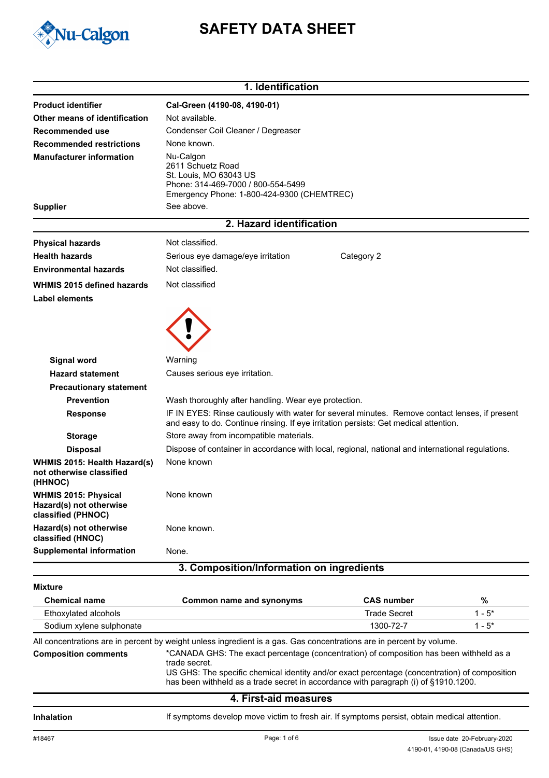

# **SAFETY DATA SHEET**

|                                                                              | 1. Identification                                                                                                                                                                      |                     |          |
|------------------------------------------------------------------------------|----------------------------------------------------------------------------------------------------------------------------------------------------------------------------------------|---------------------|----------|
| <b>Product identifier</b>                                                    | Cal-Green (4190-08, 4190-01)                                                                                                                                                           |                     |          |
| Other means of identification                                                | Not available.                                                                                                                                                                         |                     |          |
| Recommended use                                                              | Condenser Coil Cleaner / Degreaser                                                                                                                                                     |                     |          |
| <b>Recommended restrictions</b>                                              | None known.                                                                                                                                                                            |                     |          |
| <b>Manufacturer information</b>                                              | Nu-Calgon<br>2611 Schuetz Road<br>St. Louis, MO 63043 US<br>Phone: 314-469-7000 / 800-554-5499<br>Emergency Phone: 1-800-424-9300 (CHEMTREC)                                           |                     |          |
| <b>Supplier</b>                                                              | See above.                                                                                                                                                                             |                     |          |
|                                                                              | 2. Hazard identification                                                                                                                                                               |                     |          |
| <b>Physical hazards</b>                                                      | Not classified.                                                                                                                                                                        |                     |          |
| <b>Health hazards</b>                                                        | Serious eye damage/eye irritation                                                                                                                                                      | Category 2          |          |
| <b>Environmental hazards</b>                                                 | Not classified.                                                                                                                                                                        |                     |          |
| WHMIS 2015 defined hazards                                                   | Not classified                                                                                                                                                                         |                     |          |
| <b>Label elements</b>                                                        |                                                                                                                                                                                        |                     |          |
|                                                                              |                                                                                                                                                                                        |                     |          |
| Signal word                                                                  | Warning                                                                                                                                                                                |                     |          |
| <b>Hazard statement</b>                                                      | Causes serious eye irritation.                                                                                                                                                         |                     |          |
| <b>Precautionary statement</b>                                               |                                                                                                                                                                                        |                     |          |
| <b>Prevention</b>                                                            | Wash thoroughly after handling. Wear eye protection.                                                                                                                                   |                     |          |
| <b>Response</b>                                                              | IF IN EYES: Rinse cautiously with water for several minutes. Remove contact lenses, if present<br>and easy to do. Continue rinsing. If eye irritation persists: Get medical attention. |                     |          |
| <b>Storage</b>                                                               | Store away from incompatible materials.                                                                                                                                                |                     |          |
| <b>Disposal</b>                                                              | Dispose of container in accordance with local, regional, national and international regulations.                                                                                       |                     |          |
| WHMIS 2015: Health Hazard(s)<br>not otherwise classified<br>(HHNOC)          | None known                                                                                                                                                                             |                     |          |
| <b>WHMIS 2015: Physical</b><br>Hazard(s) not otherwise<br>classified (PHNOC) | None known                                                                                                                                                                             |                     |          |
| Hazard(s) not otherwise<br>classified (HNOC)                                 | None known.                                                                                                                                                                            |                     |          |
| <b>Supplemental information</b>                                              | None.                                                                                                                                                                                  |                     |          |
|                                                                              | 3. Composition/Information on ingredients                                                                                                                                              |                     |          |
| <b>Mixture</b>                                                               |                                                                                                                                                                                        |                     |          |
| <b>Chemical name</b>                                                         | Common name and synonyms                                                                                                                                                               | <b>CAS number</b>   | %        |
| Ethoxylated alcohols                                                         |                                                                                                                                                                                        | <b>Trade Secret</b> | $1 - 5*$ |

All concentrations are in percent by weight unless ingredient is a gas. Gas concentrations are in percent by volume.

Sodium xylene sulphonate 1300-72-7 1 - 5\*

\*CANADA GHS: The exact percentage (concentration) of composition has been withheld as a trade secret. US GHS: The specific chemical identity and/or exact percentage (concentration) of composition has been withheld as a trade secret in accordance with paragraph (i) of §1910.1200. **Composition comments**

# **4. First-aid measures**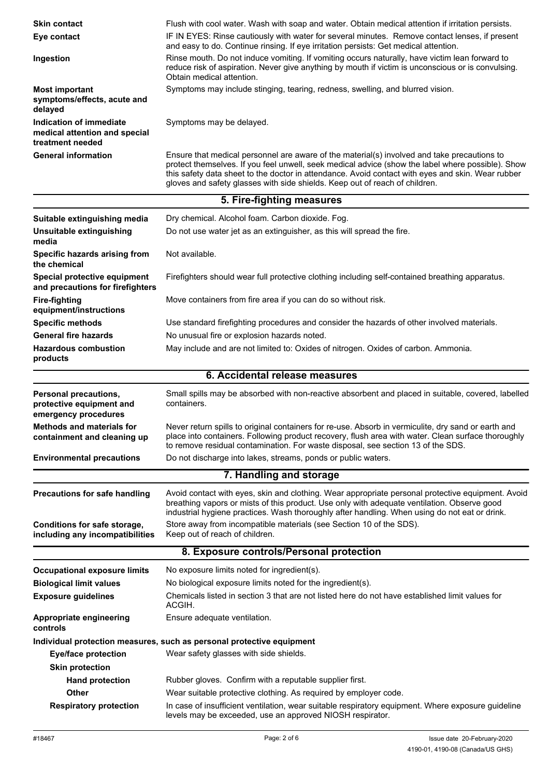| <b>Skin contact</b>                                                          | Flush with cool water. Wash with soap and water. Obtain medical attention if irritation persists.                                                                                                                                                                                                                                                                                    |  |
|------------------------------------------------------------------------------|--------------------------------------------------------------------------------------------------------------------------------------------------------------------------------------------------------------------------------------------------------------------------------------------------------------------------------------------------------------------------------------|--|
| Eye contact                                                                  | IF IN EYES: Rinse cautiously with water for several minutes. Remove contact lenses, if present<br>and easy to do. Continue rinsing. If eye irritation persists: Get medical attention.                                                                                                                                                                                               |  |
| Ingestion                                                                    | Rinse mouth. Do not induce vomiting. If vomiting occurs naturally, have victim lean forward to<br>reduce risk of aspiration. Never give anything by mouth if victim is unconscious or is convulsing.<br>Obtain medical attention.                                                                                                                                                    |  |
| <b>Most important</b><br>symptoms/effects, acute and<br>delayed              | Symptoms may include stinging, tearing, redness, swelling, and blurred vision.                                                                                                                                                                                                                                                                                                       |  |
| Indication of immediate<br>medical attention and special<br>treatment needed | Symptoms may be delayed.                                                                                                                                                                                                                                                                                                                                                             |  |
| <b>General information</b>                                                   | Ensure that medical personnel are aware of the material(s) involved and take precautions to<br>protect themselves. If you feel unwell, seek medical advice (show the label where possible). Show<br>this safety data sheet to the doctor in attendance. Avoid contact with eyes and skin. Wear rubber<br>gloves and safety glasses with side shields. Keep out of reach of children. |  |
|                                                                              | 5. Fire-fighting measures                                                                                                                                                                                                                                                                                                                                                            |  |
| Suitable extinguishing media                                                 | Dry chemical. Alcohol foam. Carbon dioxide. Fog.                                                                                                                                                                                                                                                                                                                                     |  |
| Unsuitable extinguishing                                                     | Do not use water jet as an extinguisher, as this will spread the fire.                                                                                                                                                                                                                                                                                                               |  |
| media                                                                        |                                                                                                                                                                                                                                                                                                                                                                                      |  |
| Specific hazards arising from<br>the chemical                                | Not available.                                                                                                                                                                                                                                                                                                                                                                       |  |
| Special protective equipment<br>and precautions for firefighters             | Firefighters should wear full protective clothing including self-contained breathing apparatus.                                                                                                                                                                                                                                                                                      |  |
| <b>Fire-fighting</b><br>equipment/instructions                               | Move containers from fire area if you can do so without risk.                                                                                                                                                                                                                                                                                                                        |  |
| <b>Specific methods</b>                                                      | Use standard firefighting procedures and consider the hazards of other involved materials.                                                                                                                                                                                                                                                                                           |  |
| <b>General fire hazards</b>                                                  | No unusual fire or explosion hazards noted.                                                                                                                                                                                                                                                                                                                                          |  |
| <b>Hazardous combustion</b><br>products                                      | May include and are not limited to: Oxides of nitrogen. Oxides of carbon. Ammonia.                                                                                                                                                                                                                                                                                                   |  |
|                                                                              | 6. Accidental release measures                                                                                                                                                                                                                                                                                                                                                       |  |
|                                                                              |                                                                                                                                                                                                                                                                                                                                                                                      |  |
| Personal precautions,<br>protective equipment and<br>emergency procedures    | Small spills may be absorbed with non-reactive absorbent and placed in suitable, covered, labelled<br>containers.                                                                                                                                                                                                                                                                    |  |
| <b>Methods and materials for</b><br>containment and cleaning up              | Never return spills to original containers for re-use. Absorb in vermiculite, dry sand or earth and<br>place into containers. Following product recovery, flush area with water. Clean surface thoroughly<br>to remove residual contamination. For waste disposal, see section 13 of the SDS.                                                                                        |  |
| <b>Environmental precautions</b>                                             | Do not discharge into lakes, streams, ponds or public waters.                                                                                                                                                                                                                                                                                                                        |  |
|                                                                              | 7. Handling and storage                                                                                                                                                                                                                                                                                                                                                              |  |
| <b>Precautions for safe handling</b>                                         | Avoid contact with eyes, skin and clothing. Wear appropriate personal protective equipment. Avoid<br>breathing vapors or mists of this product. Use only with adequate ventilation. Observe good                                                                                                                                                                                     |  |
| Conditions for safe storage,<br>including any incompatibilities              | industrial hygiene practices. Wash thoroughly after handling. When using do not eat or drink.<br>Store away from incompatible materials (see Section 10 of the SDS).<br>Keep out of reach of children.                                                                                                                                                                               |  |
|                                                                              | 8. Exposure controls/Personal protection                                                                                                                                                                                                                                                                                                                                             |  |
|                                                                              |                                                                                                                                                                                                                                                                                                                                                                                      |  |
| <b>Occupational exposure limits</b><br><b>Biological limit values</b>        | No exposure limits noted for ingredient(s).<br>No biological exposure limits noted for the ingredient(s).                                                                                                                                                                                                                                                                            |  |
| <b>Exposure guidelines</b>                                                   | Chemicals listed in section 3 that are not listed here do not have established limit values for<br>ACGIH.                                                                                                                                                                                                                                                                            |  |
| Appropriate engineering<br>controls                                          | Ensure adequate ventilation.                                                                                                                                                                                                                                                                                                                                                         |  |
|                                                                              | Individual protection measures, such as personal protective equipment                                                                                                                                                                                                                                                                                                                |  |
| <b>Eye/face protection</b>                                                   | Wear safety glasses with side shields.                                                                                                                                                                                                                                                                                                                                               |  |
| <b>Skin protection</b>                                                       |                                                                                                                                                                                                                                                                                                                                                                                      |  |
| <b>Hand protection</b>                                                       | Rubber gloves. Confirm with a reputable supplier first.                                                                                                                                                                                                                                                                                                                              |  |
| <b>Other</b><br><b>Respiratory protection</b>                                | Wear suitable protective clothing. As required by employer code.<br>In case of insufficient ventilation, wear suitable respiratory equipment. Where exposure guideline                                                                                                                                                                                                               |  |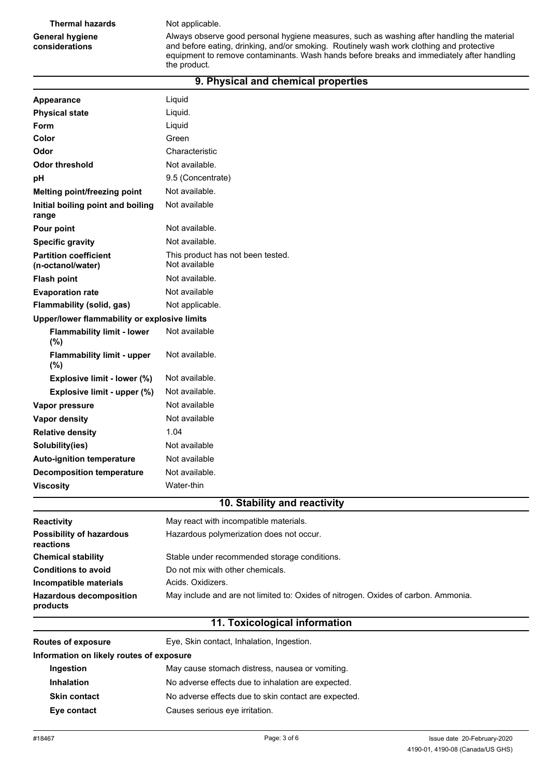#### **Thermal hazards** Not applicable.

## **General hygiene considerations**

#### Always observe good personal hygiene measures, such as washing after handling the material and before eating, drinking, and/or smoking. Routinely wash work clothing and protective equipment to remove contaminants. Wash hands before breaks and immediately after handling the product.

| 9. Physical and chemical properties               |                                                    |  |
|---------------------------------------------------|----------------------------------------------------|--|
| Appearance                                        | Liquid                                             |  |
| <b>Physical state</b>                             | Liquid.                                            |  |
| <b>Form</b>                                       | Liquid                                             |  |
| Color                                             | Green                                              |  |
| Odor                                              | Characteristic                                     |  |
| <b>Odor threshold</b>                             | Not available.                                     |  |
| pH                                                | 9.5 (Concentrate)                                  |  |
| Melting point/freezing point                      | Not available.                                     |  |
| Initial boiling point and boiling<br>range        | Not available                                      |  |
| Pour point                                        | Not available.                                     |  |
| <b>Specific gravity</b>                           | Not available.                                     |  |
| <b>Partition coefficient</b><br>(n-octanol/water) | This product has not been tested.<br>Not available |  |
| <b>Flash point</b>                                | Not available.                                     |  |
| <b>Evaporation rate</b>                           | Not available                                      |  |
| Flammability (solid, gas)                         | Not applicable.                                    |  |
| Upper/lower flammability or explosive limits      |                                                    |  |
| <b>Flammability limit - lower</b><br>$(\%)$       | Not available                                      |  |
| <b>Flammability limit - upper</b><br>(%)          | Not available.                                     |  |
| Explosive limit - lower (%)                       | Not available.                                     |  |
| Explosive limit - upper (%)                       | Not available.                                     |  |
| Vapor pressure                                    | Not available                                      |  |
| <b>Vapor density</b>                              | Not available                                      |  |
| <b>Relative density</b>                           | 1.04                                               |  |
| Solubility(ies)                                   | Not available                                      |  |
| <b>Auto-ignition temperature</b>                  | Not available                                      |  |
| <b>Decomposition temperature</b>                  | Not available.                                     |  |
| <b>Viscosity</b>                                  | Water-thin                                         |  |
|                                                   | 10. Stability and reactivity                       |  |
| Reactivity                                        | May react with incompatible materials.             |  |
|                                                   |                                                    |  |

| products                                     |                                                                                    |
|----------------------------------------------|------------------------------------------------------------------------------------|
| <b>Hazardous decomposition</b>               | May include and are not limited to: Oxides of nitrogen. Oxides of carbon. Ammonia. |
| Incompatible materials                       | Acids, Oxidizers.                                                                  |
| <b>Conditions to avoid</b>                   | Do not mix with other chemicals.                                                   |
| <b>Chemical stability</b>                    | Stable under recommended storage conditions.                                       |
| <b>Possibility of hazardous</b><br>reactions | Hazardous polymerization does not occur.                                           |
| <b>Reactivity</b>                            | May react with incompatible materials.                                             |

# **11. Toxicological information**

| <b>Routes of exposure</b>                | Eye, Skin contact, Inhalation, Ingestion.            |  |
|------------------------------------------|------------------------------------------------------|--|
| Information on likely routes of exposure |                                                      |  |
| Ingestion                                | May cause stomach distress, nausea or vomiting.      |  |
| <b>Inhalation</b>                        | No adverse effects due to inhalation are expected.   |  |
| <b>Skin contact</b>                      | No adverse effects due to skin contact are expected. |  |
| Eye contact                              | Causes serious eye irritation.                       |  |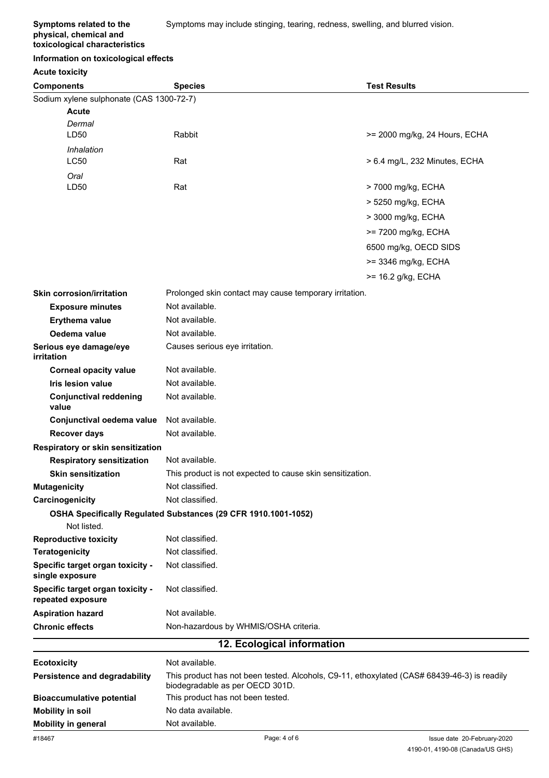**Symptoms related to the physical, chemical and toxicological characteristics**

#### **Information on toxicological effects**

#### **Acute toxicity**

| <b>Components</b>                                     | <b>Species</b>                                                                                                                 | <b>Test Results</b>           |
|-------------------------------------------------------|--------------------------------------------------------------------------------------------------------------------------------|-------------------------------|
| Sodium xylene sulphonate (CAS 1300-72-7)              |                                                                                                                                |                               |
| <b>Acute</b>                                          |                                                                                                                                |                               |
| Dermal                                                |                                                                                                                                |                               |
| LD50                                                  | Rabbit                                                                                                                         | >= 2000 mg/kg, 24 Hours, ECHA |
| Inhalation                                            |                                                                                                                                |                               |
| LC50                                                  | Rat                                                                                                                            | > 6.4 mg/L, 232 Minutes, ECHA |
| Oral<br>LD50                                          | Rat                                                                                                                            | > 7000 mg/kg, ECHA            |
|                                                       |                                                                                                                                |                               |
|                                                       |                                                                                                                                | > 5250 mg/kg, ECHA            |
|                                                       |                                                                                                                                | > 3000 mg/kg, ECHA            |
|                                                       |                                                                                                                                | >= 7200 mg/kg, ECHA           |
|                                                       |                                                                                                                                | 6500 mg/kg, OECD SIDS         |
|                                                       |                                                                                                                                | >= 3346 mg/kg, ECHA           |
|                                                       |                                                                                                                                | >= 16.2 g/kg, ECHA            |
| <b>Skin corrosion/irritation</b>                      | Prolonged skin contact may cause temporary irritation.                                                                         |                               |
| <b>Exposure minutes</b>                               | Not available.                                                                                                                 |                               |
| Erythema value                                        | Not available.                                                                                                                 |                               |
| Oedema value                                          | Not available.                                                                                                                 |                               |
| Serious eye damage/eye<br>irritation                  | Causes serious eye irritation.                                                                                                 |                               |
| <b>Corneal opacity value</b>                          | Not available.                                                                                                                 |                               |
| <b>Iris lesion value</b>                              | Not available.                                                                                                                 |                               |
| <b>Conjunctival reddening</b><br>value                | Not available.                                                                                                                 |                               |
| Conjunctival oedema value                             | Not available.                                                                                                                 |                               |
| <b>Recover days</b>                                   | Not available.                                                                                                                 |                               |
| Respiratory or skin sensitization                     |                                                                                                                                |                               |
| <b>Respiratory sensitization</b>                      | Not available.                                                                                                                 |                               |
| <b>Skin sensitization</b>                             | This product is not expected to cause skin sensitization.                                                                      |                               |
| <b>Mutagenicity</b>                                   | Not classified.                                                                                                                |                               |
| Carcinogenicity                                       | Not classified.                                                                                                                |                               |
|                                                       | OSHA Specifically Regulated Substances (29 CFR 1910.1001-1052)                                                                 |                               |
| Not listed.                                           |                                                                                                                                |                               |
| <b>Reproductive toxicity</b>                          | Not classified.<br>Not classified.                                                                                             |                               |
| <b>Teratogenicity</b>                                 |                                                                                                                                |                               |
| Specific target organ toxicity -<br>single exposure   | Not classified.                                                                                                                |                               |
| Specific target organ toxicity -<br>repeated exposure | Not classified.                                                                                                                |                               |
| <b>Aspiration hazard</b>                              | Not available.                                                                                                                 |                               |
| <b>Chronic effects</b>                                | Non-hazardous by WHMIS/OSHA criteria.                                                                                          |                               |
|                                                       | 12. Ecological information                                                                                                     |                               |
| <b>Ecotoxicity</b>                                    | Not available.                                                                                                                 |                               |
| Persistence and degradability                         | This product has not been tested. Alcohols, C9-11, ethoxylated (CAS# 68439-46-3) is readily<br>biodegradable as per OECD 301D. |                               |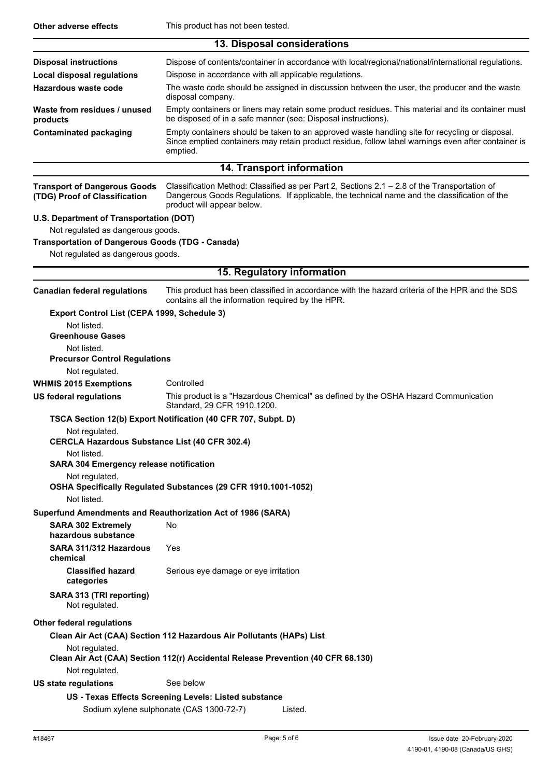|                                                                                              | 13. Disposal considerations                                                                                                                                                                                                |  |  |
|----------------------------------------------------------------------------------------------|----------------------------------------------------------------------------------------------------------------------------------------------------------------------------------------------------------------------------|--|--|
| <b>Disposal instructions</b>                                                                 | Dispose of contents/container in accordance with local/regional/national/international regulations.                                                                                                                        |  |  |
| <b>Local disposal regulations</b>                                                            | Dispose in accordance with all applicable regulations.                                                                                                                                                                     |  |  |
| Hazardous waste code                                                                         | The waste code should be assigned in discussion between the user, the producer and the waste<br>disposal company.                                                                                                          |  |  |
| Waste from residues / unused<br>products                                                     | Empty containers or liners may retain some product residues. This material and its container must<br>be disposed of in a safe manner (see: Disposal instructions).                                                         |  |  |
| <b>Contaminated packaging</b>                                                                | Empty containers should be taken to an approved waste handling site for recycling or disposal.<br>Since emptied containers may retain product residue, follow label warnings even after container is<br>emptied.           |  |  |
|                                                                                              | 14. Transport information                                                                                                                                                                                                  |  |  |
| <b>Transport of Dangerous Goods</b><br>(TDG) Proof of Classification                         | Classification Method: Classified as per Part 2, Sections 2.1 - 2.8 of the Transportation of<br>Dangerous Goods Regulations. If applicable, the technical name and the classification of the<br>product will appear below. |  |  |
| U.S. Department of Transportation (DOT)                                                      |                                                                                                                                                                                                                            |  |  |
| Not regulated as dangerous goods.                                                            |                                                                                                                                                                                                                            |  |  |
| <b>Transportation of Dangerous Goods (TDG - Canada)</b><br>Not regulated as dangerous goods. |                                                                                                                                                                                                                            |  |  |
|                                                                                              | 15. Regulatory information                                                                                                                                                                                                 |  |  |
| <b>Canadian federal regulations</b>                                                          | This product has been classified in accordance with the hazard criteria of the HPR and the SDS<br>contains all the information required by the HPR.                                                                        |  |  |
| Export Control List (CEPA 1999, Schedule 3)<br>Not listed.                                   |                                                                                                                                                                                                                            |  |  |
| <b>Greenhouse Gases</b>                                                                      |                                                                                                                                                                                                                            |  |  |
| Not listed.                                                                                  |                                                                                                                                                                                                                            |  |  |
| <b>Precursor Control Regulations</b>                                                         |                                                                                                                                                                                                                            |  |  |
| Not regulated.                                                                               |                                                                                                                                                                                                                            |  |  |
| <b>WHMIS 2015 Exemptions</b>                                                                 | Controlled                                                                                                                                                                                                                 |  |  |
| <b>US federal regulations</b>                                                                | This product is a "Hazardous Chemical" as defined by the OSHA Hazard Communication<br>Standard, 29 CFR 1910.1200.                                                                                                          |  |  |
|                                                                                              | TSCA Section 12(b) Export Notification (40 CFR 707, Subpt. D)                                                                                                                                                              |  |  |
| Not regulated.<br><b>CERCLA Hazardous Substance List (40 CFR 302.4)</b>                      |                                                                                                                                                                                                                            |  |  |
| Not listed.                                                                                  |                                                                                                                                                                                                                            |  |  |
| <b>SARA 304 Emergency release notification</b><br>Not regulated.                             |                                                                                                                                                                                                                            |  |  |
| Not listed.                                                                                  | OSHA Specifically Regulated Substances (29 CFR 1910.1001-1052)                                                                                                                                                             |  |  |
|                                                                                              | Superfund Amendments and Reauthorization Act of 1986 (SARA)                                                                                                                                                                |  |  |
| <b>SARA 302 Extremely</b><br>hazardous substance                                             | No                                                                                                                                                                                                                         |  |  |
| SARA 311/312 Hazardous<br>chemical                                                           | Yes                                                                                                                                                                                                                        |  |  |
| <b>Classified hazard</b><br>categories                                                       | Serious eye damage or eye irritation                                                                                                                                                                                       |  |  |
| SARA 313 (TRI reporting)<br>Not regulated.                                                   |                                                                                                                                                                                                                            |  |  |
| Other federal regulations                                                                    |                                                                                                                                                                                                                            |  |  |
|                                                                                              | Clean Air Act (CAA) Section 112 Hazardous Air Pollutants (HAPs) List                                                                                                                                                       |  |  |
| Not regulated.<br>Not regulated.                                                             | Clean Air Act (CAA) Section 112(r) Accidental Release Prevention (40 CFR 68.130)                                                                                                                                           |  |  |
| <b>US state regulations</b>                                                                  | See below                                                                                                                                                                                                                  |  |  |
|                                                                                              | US - Texas Effects Screening Levels: Listed substance                                                                                                                                                                      |  |  |
|                                                                                              | Sodium xylene sulphonate (CAS 1300-72-7)<br>Listed.                                                                                                                                                                        |  |  |